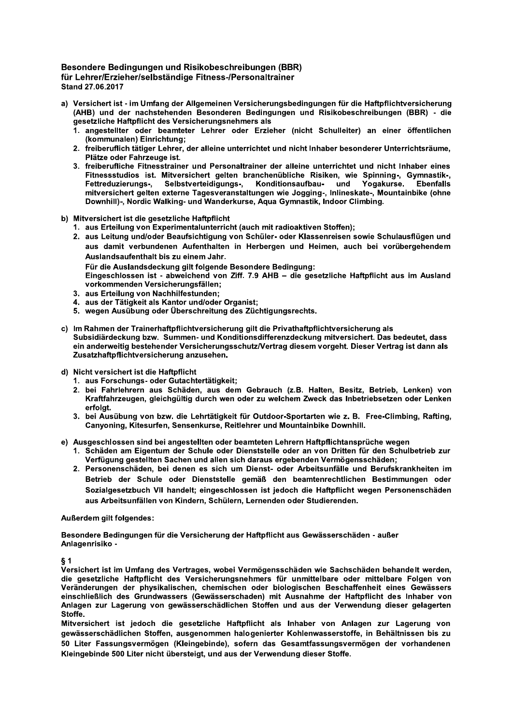## Besondere Bedingungen und Risikobeschreibungen (BBR) für Lehrer/Erzieher/selbständige Fitness-/Personaltrainer Stand 27.06.2017

- a) Versichert ist im Umfang der Allgemeinen Versicherungsbedingungen für die Haftpflichtversicherung (AHB) und der nachstehenden Besonderen Bedingungen und Risikobeschreibungen (BBR) - die gesetzliche Haftpflicht des Versicherungsnehmers als
	- 1. angestellter oder beamteter Lehrer oder Erzieher (nicht Schulleiter) an einer öffentlichen (kommunalen) Einrichtung;
	- 2. freiberuflich tätiger Lehrer, der alleine unterrichtet und nicht Inhaber besonderer Unterrichtsräume, Plätze oder Fahrzeuge ist.
	- 3. freiberufliche Fitnesstrainer und Personaltrainer der alleine unterrichtet und nicht Inhaber eines Fitnessstudios ist. Mitversichert gelten branchenübliche Risiken, wie Spinning-, Gymnastik-, Fettreduzierungs-, Selbstverteidigungs-, Konditionsaufbau- und Yogakurse. Ebenfalls mitversichert gelten externe Tagesveranstaltungen wie Jogging-, Inlineskate-, Mountainbike (ohne Downhill)-, Nordic Walking- und Wanderkurse, Aqua Gymnastik, Indoor Climbing.
- b) Mitversichert ist die gesetzliche Haftpflicht
	- 1. aus Erteilung von Experimentalunterricht (auch mit radioaktiven Stoffen);
	- 2. aus Leitung und/oder Beaufsichtigung von Schüler- oder Klassenreisen sowie Schulausflügen und aus damit verbundenen Aufenthalten in Herbergen und Heimen, auch bei vorübergehendem Auslandsaufenthalt bis zu einem Jahr.
		- Für die Auslandsdeckung gilt folgende Besondere Bedingung:

Eingeschlossen ist - abweichend von Ziff. 7.9 AHB - die gesetzliche Haftpflicht aus im Ausland vorkommenden Versicherungsfällen;

- 3. aus Erteilung von Nachhilfestunden;
- 4. aus der Tätigkeit als Kantor und/oder Organist;
- 5. wegen Ausübung oder Überschreitung des Züchtigungsrechts.
- c) Im Rahmen der Trainerhaftpflichtversicherung gilt die Privathaftpflichtversicherung als Subsidiärdeckung bzw. Summen- und Konditionsdifferenzdeckung mitversichert. Das bedeutet, dass ein anderweitig bestehender Versicherungsschutz/Vertrag diesem vorgeht. Dieser Vertrag ist dann als Zusatzhaftpflichtversicherung anzusehen.
- d) Nicht versichert ist die Haftpflicht
	- 1. aus Forschungs- oder Gutachtertätigkeit;
	- 2. bei Fahrlehrern aus Schäden, aus dem Gebrauch (z.B. Halten, Besitz, Betrieb, Lenken) von Kraftfahrzeugen, gleichgültig durch wen oder zu welchem Zweck das Inbetriebsetzen oder Lenken erfolat.
	- 3. bei Ausübung von bzw. die Lehrtätigkeit für Outdoor-Sportarten wie z. B. Free-Climbing, Rafting, Canyoning, Kitesurfen, Sensenkurse, Reitlehrer und Mountainbike Downhill.
- e) Ausgeschlossen sind bei angestellten oder beamteten Lehrern Haftpflichtansprüche wegen
	- 1. Schäden am Eigentum der Schule oder Dienststelle oder an von Dritten für den Schulbetrieb zur Verfügung gestellten Sachen und allen sich daraus ergebenden Vermögensschäden:
	- 2. Personenschäden, bei denen es sich um Dienst- oder Arbeitsunfälle und Berufskrankheiten im Betrieb der Schule oder Dienststelle gemäß den beamtenrechtlichen Bestimmungen oder Sozialgesetzbuch VII handelt; eingeschlossen ist jedoch die Haftpflicht wegen Personenschäden aus Arbeitsunfällen von Kindern, Schülern, Lernenden oder Studierenden.

## **Außerdem ailt folgendes:**

Besondere Bedingungen für die Versicherung der Haftpflicht aus Gewässerschäden - außer Anlagenrisiko -

 $\delta$  1

Versichert ist im Umfang des Vertrages, wobei Vermögensschäden wie Sachschäden behandelt werden, die gesetzliche Haftpflicht des Versicherungsnehmers für unmittelbare oder mittelbare Folgen von Veränderungen der physikalischen, chemischen oder biologischen Beschaffenheit eines Gewässers einschließlich des Grundwassers (Gewässerschaden) mit Ausnahme der Haftpflicht des Inhaber von Anlagen zur Lagerung von gewässerschädlichen Stoffen und aus der Verwendung dieser gelagerten **Stoffe** 

Mitversichert ist jedoch die gesetzliche Haftpflicht als Inhaber von Anlagen zur Lagerung von gewässerschädlichen Stoffen, ausgenommen halogenierter Kohlenwasserstoffe, in Behältnissen bis zu 50 Liter Fassungsvermögen (Kleingebinde), sofern das Gesamtfassungsvermögen der vorhandenen Kleingebinde 500 Liter nicht übersteigt, und aus der Verwendung dieser Stoffe.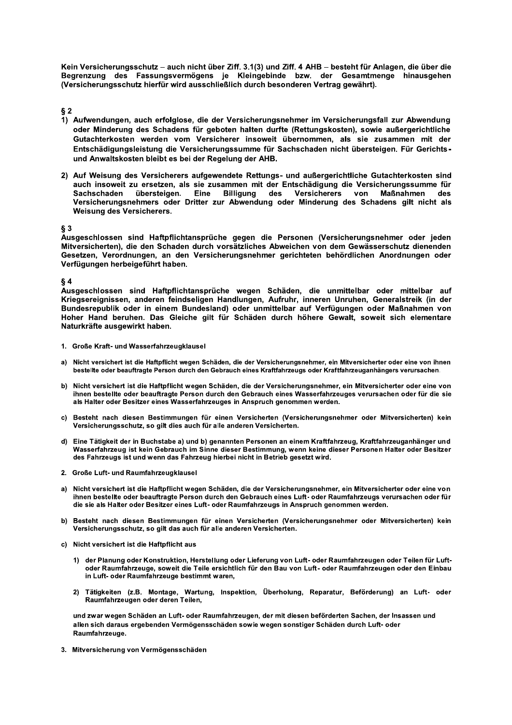Kein Versicherungsschutz - auch nicht über Ziff. 3.1(3) und Ziff. 4 AHB - besteht für Anlagen, die über die Begrenzung des Fassungsvermögens je Kleingebinde bzw. der Gesamtmenge hinausgehen (Versicherungsschutz hierfür wird ausschließlich durch besonderen Vertrag gewährt).

 $§ 2$ 

- 1) Aufwendungen, auch erfolglose, die der Versicherungsnehmer im Versicherungsfall zur Abwendung oder Minderung des Schadens für geboten halten durfte (Rettungskosten), sowie außergerichtliche Gutachterkosten werden vom Versicherer insoweit übernommen, als sie zusammen mit der Entschädigungsleistung die Versicherungssumme für Sachschaden nicht übersteigen. Für Gerichtsund Anwaltskosten bleibt es bei der Regelung der AHB.
- 2) Auf Weisung des Versicherers aufgewendete Rettungs- und außergerichtliche Gutachterkosten sind auch insoweit zu ersetzen, als sie zusammen mit der Entschädigung die Versicherungssumme für **Sachschaden** übersteigen. Eine Billigung des Versicherers von Maßnahmen des Versicherungsnehmers oder Dritter zur Abwendung oder Minderung des Schadens gilt nicht als Weisung des Versicherers.

 $§$ 3

Ausgeschlossen sind Haftpflichtansprüche gegen die Personen (Versicherungsnehmer oder jeden Mitversicherten), die den Schaden durch vorsätzliches Abweichen von dem Gewässerschutz dienenden Gesetzen, Verordnungen, an den Versicherungsnehmer gerichteten behördlichen Anordnungen oder Verfügungen herbeigeführt haben.

 $§ 4$ 

Ausgeschlossen sind Haftpflichtansprüche wegen Schäden, die unmittelbar oder mittelbar auf Kriegsereignissen, anderen feindseligen Handlungen, Aufruhr, inneren Unruhen, Generalstreik (in der Bundesrepublik oder in einem Bundesland) oder unmittelbar auf Verfügungen oder Maßnahmen von Hoher Hand beruhen. Das Gleiche gilt für Schäden durch höhere Gewalt, soweit sich elementare Naturkräfte ausgewirkt haben.

- 1. Große Kraft- und Wasserfahrzeugklausel
- a) Nicht versichert ist die Haftpflicht wegen Schäden, die der Versicherungsnehmer, ein Mitversicherter oder eine von ihnen bestellte oder beauftragte Person durch den Gebrauch eines Kraftfahrzeugs oder Kraftfahrzeuganhängers verursachen.
- b) Nicht versichert ist die Haftpflicht wegen Schäden, die der Versicherungsnehmer, ein Mitversicherter oder eine von ihnen bestellte oder beauftragte Person durch den Gebrauch eines Wasserfahrzeuges verursachen oder für die sie als Halter oder Besitzer eines Wasserfahrzeuges in Anspruch genommen werden.
- c) Besteht nach diesen Bestimmungen für einen Versicherten (Versicherungsnehmer oder Mitversicherten) kein Versicherungsschutz, so gilt dies auch für alle anderen Versicherten.
- d) Eine Tätigkeit der in Buchstabe a) und b) genannten Personen an einem Kraftfahrzeug, Kraftfahrzeuganhänger und Wasserfahrzeug ist kein Gebrauch im Sinne dieser Bestimmung, wenn keine dieser Personen Halter oder Besitzer des Fahrzeugs ist und wenn das Fahrzeug hierbei nicht in Betrieb gesetzt wird.
- 2. Große Luft- und Raumfahrzeugklausel
- Nicht versichert ist die Haftpflicht wegen Schäden, die der Versicherungsnehmer, ein Mitversicherter oder eine von a) ihnen bestellte oder beauftragte Person durch den Gebrauch eines Luft- oder Raumfahrzeugs verursachen oder für die sie als Halter oder Besitzer eines Luft- oder Raumfahrzeugs in Anspruch genommen werden.
- b) Besteht nach diesen Bestimmungen für einen Versicherten (Versicherungsnehmer oder Mitversicherten) kein Versicherungsschutz, so gilt das auch für alle anderen Versicherten.
- c) Nicht versichert ist die Haftpflicht aus
	- 1) der Planung oder Konstruktion, Herstellung oder Lieferung von Luft- oder Raumfahrzeugen oder Teilen für Luftoder Raumfahrzeuge, soweit die Teile ersichtlich für den Bau von Luft- oder Raumfahrzeugen oder den Einbau in Luft- oder Raumfahrzeuge bestimmt waren,
	- 2) Tätigkeiten (z.B. Montage, Wartung, Inspektion, Überholung, Reparatur, Beförderung) an Luft- oder Raumfahrzeugen oder deren Teilen,

und zwar wegen Schäden an Luft- oder Raumfahrzeugen, der mit diesen beförderten Sachen, der Insassen und allen sich daraus ergebenden Vermögensschäden sowie wegen sonstiger Schäden durch Luft- oder Raumfahrzeuge.

3. Mitversicherung von Vermögensschäden